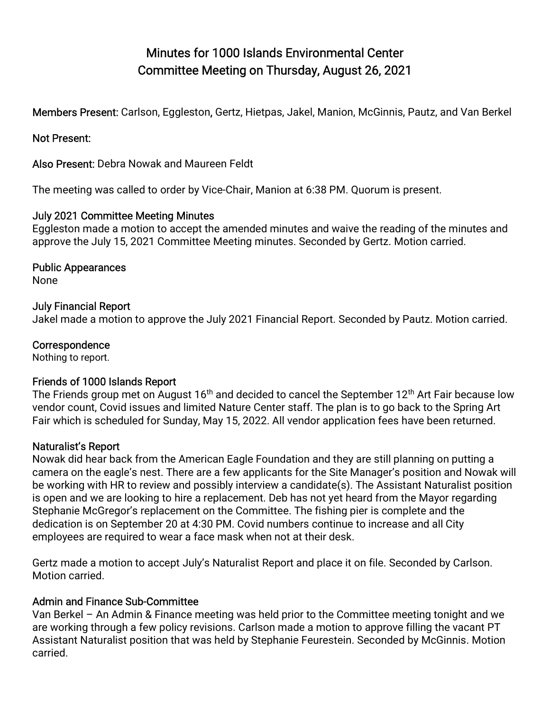# Minutes for 1000 Islands Environmental Center Committee Meeting on Thursday, August 26, 2021

Members Present: Carlson, Eggleston, Gertz, Hietpas, Jakel, Manion, McGinnis, Pautz, and Van Berkel

## Not Present:

Also Present: Debra Nowak and Maureen Feldt

The meeting was called to order by Vice-Chair, Manion at 6:38 PM. Quorum is present.

# July 2021 Committee Meeting Minutes

Eggleston made a motion to accept the amended minutes and waive the reading of the minutes and approve the July 15, 2021 Committee Meeting minutes. Seconded by Gertz. Motion carried.

## Public Appearances

None

## July Financial Report

Jakel made a motion to approve the July 2021 Financial Report. Seconded by Pautz. Motion carried.

## Correspondence

Nothing to report.

# Friends of 1000 Islands Report

The Friends group met on August 16<sup>th</sup> and decided to cancel the September 12<sup>th</sup> Art Fair because low vendor count, Covid issues and limited Nature Center staff. The plan is to go back to the Spring Art Fair which is scheduled for Sunday, May 15, 2022. All vendor application fees have been returned.

# Naturalist's Report

Nowak did hear back from the American Eagle Foundation and they are still planning on putting a camera on the eagle's nest. There are a few applicants for the Site Manager's position and Nowak will be working with HR to review and possibly interview a candidate(s). The Assistant Naturalist position is open and we are looking to hire a replacement. Deb has not yet heard from the Mayor regarding Stephanie McGregor's replacement on the Committee. The fishing pier is complete and the dedication is on September 20 at 4:30 PM. Covid numbers continue to increase and all City employees are required to wear a face mask when not at their desk.

Gertz made a motion to accept July's Naturalist Report and place it on file. Seconded by Carlson. Motion carried.

### Admin and Finance Sub-Committee

Van Berkel – An Admin & Finance meeting was held prior to the Committee meeting tonight and we are working through a few policy revisions. Carlson made a motion to approve filling the vacant PT Assistant Naturalist position that was held by Stephanie Feurestein. Seconded by McGinnis. Motion carried.